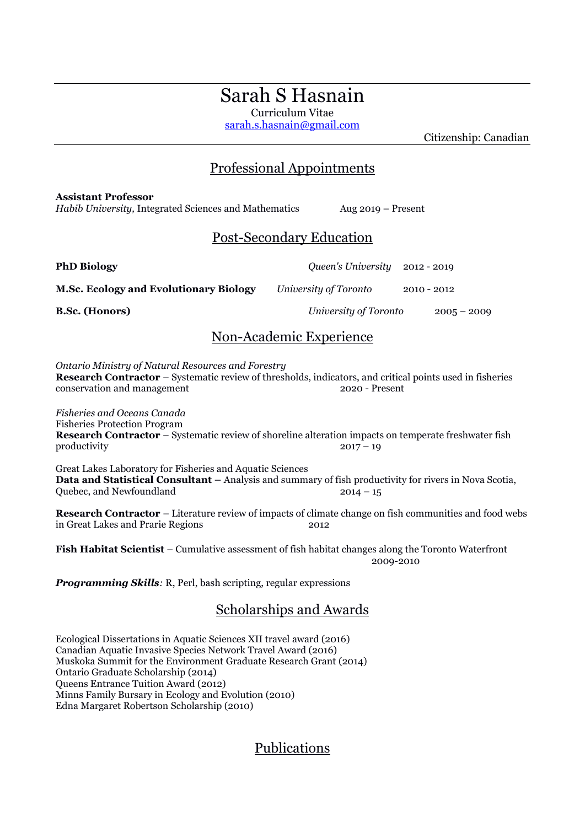# Sarah S Hasnain

Curriculum Vitae [sarah.s.hasnain@gmail.com](mailto:sarah.s.hasnain@gmail.com)

Citizenship: Canadian

### Professional Appointments

### **Assistant Professor**

*Habib University,* Integrated Sciences and Mathematics Aug 2019 – Present

## Post-Secondary Education

**PhD Biology** *Queen's University* 2012 - 2019

**M.Sc. Ecology and Evolutionary Biology** *University of Toronto* 2010 - 2012

**B.Sc. (Honors)** *University of Toronto* 2005 – 2009

## Non-Academic Experience

*Ontario Ministry of Natural Resources and Forestry* **Research Contractor** – Systematic review of thresholds, indicators, and critical points used in fisheries conservation and management 2020 - Present

*Fisheries and Oceans Canada*  Fisheries Protection Program **Research Contractor** – Systematic review of shoreline alteration impacts on temperate freshwater fish  $\text{productivity}$  2017 – 19

Great Lakes Laboratory for Fisheries and Aquatic Sciences **Data and Statistical Consultant –** Analysis and summary of fish productivity for rivers in Nova Scotia, Quebec, and Newfoundland 2014 – 15

**Research Contractor** – Literature review of impacts of climate change on fish communities and food webs in Great Lakes and Prarie Regions 2012

**Fish Habitat Scientist** – Cumulative assessment of fish habitat changes along the Toronto Waterfront 2009-2010

*Programming Skills:* R, Perl, bash scripting, regular expressions

## Scholarships and Awards

Ecological Dissertations in Aquatic Sciences XII travel award (2016) Canadian Aquatic Invasive Species Network Travel Award (2016) Muskoka Summit for the Environment Graduate Research Grant (2014) Ontario Graduate Scholarship (2014) Queens Entrance Tuition Award (2012) Minns Family Bursary in Ecology and Evolution (2010) Edna Margaret Robertson Scholarship (2010)

## Publications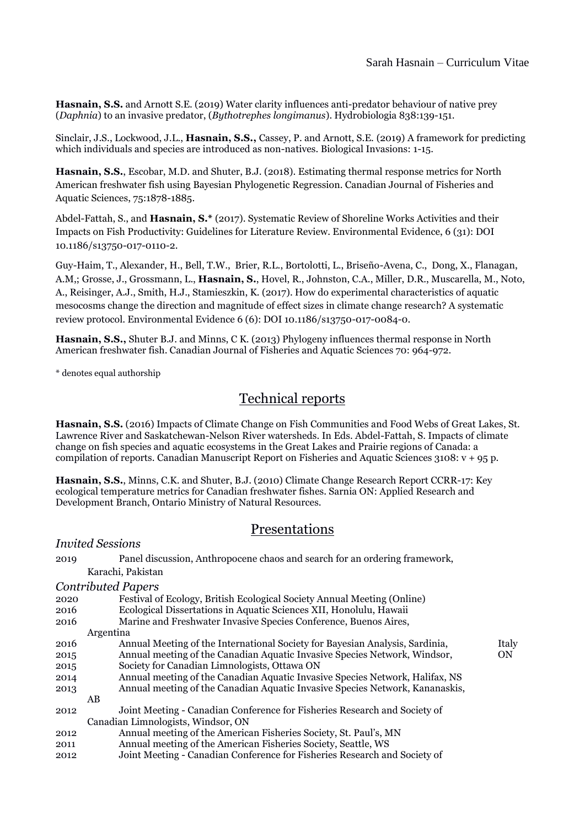**Hasnain, S.S.** and Arnott S.E. (2019) Water clarity influences anti-predator behaviour of native prey (*Daphnia*) to an invasive predator, (*Bythotrephes longimanus*). Hydrobiologia 838:139-151.

Sinclair, J.S., Lockwood, J.L., **Hasnain, S.S.,** Cassey, P. and Arnott, S.E. (2019) A framework for predicting which individuals and species are introduced as non-natives. Biological Invasions: 1-15.

**Hasnain, S.S.**, Escobar, M.D. and Shuter, B.J. (2018). Estimating thermal response metrics for North American freshwater fish using Bayesian Phylogenetic Regression. Canadian Journal of Fisheries and Aquatic Sciences, 75:1878-1885.

Abdel-Fattah, S., and **Hasnain, S.\*** (2017). Systematic Review of Shoreline Works Activities and their Impacts on Fish Productivity: Guidelines for Literature Review. Environmental Evidence, 6 (31): DOI 10.1186/s13750-017-0110-2.

Guy-Haim, T., Alexander, H., Bell, T.W., Brier, R.L., Bortolotti, L., Briseño-Avena, C., Dong, X., Flanagan, A.M,; Grosse, J., Grossmann, L., **Hasnain, S.**, Hovel, R., Johnston, C.A., Miller, D.R., Muscarella, M., Noto, A., Reisinger, A.J., Smith, H.J., Stamieszkin, K. (2017). How do experimental characteristics of aquatic mesocosms change the direction and magnitude of effect sizes in climate change research? A systematic review protocol. Environmental Evidence 6 (6): DOI 10.1186/s13750-017-0084-0.

**Hasnain, S.S.,** Shuter B.J. and Minns, C K. (2013) Phylogeny influences thermal response in North American freshwater fish. Canadian Journal of Fisheries and Aquatic Sciences 70: 964-972.

\* denotes equal authorship

*Invited Sessions*

## Technical reports

**Hasnain, S.S.** (2016) Impacts of Climate Change on Fish Communities and Food Webs of Great Lakes, St. Lawrence River and Saskatchewan-Nelson River watersheds. In Eds. Abdel-Fattah, S. Impacts of climate change on fish species and aquatic ecosystems in the Great Lakes and Prairie regions of Canada: a compilation of reports. Canadian Manuscript Report on Fisheries and Aquatic Sciences 3108: v + 95 p.

**Hasnain, S.S.**, Minns, C.K. and Shuter, B.J. (2010) Climate Change Research Report CCRR-17: Key ecological temperature metrics for Canadian freshwater fishes. Sarnia ON: Applied Research and Development Branch, Ontario Ministry of Natural Resources.

### Presentations

| 2019 | Panel discussion, Anthropocene chaos and search for an ordering framework,   |           |  |
|------|------------------------------------------------------------------------------|-----------|--|
|      | Karachi, Pakistan                                                            |           |  |
|      | <b>Contributed Papers</b>                                                    |           |  |
| 2020 | Festival of Ecology, British Ecological Society Annual Meeting (Online)      |           |  |
| 2016 | Ecological Dissertations in Aquatic Sciences XII, Honolulu, Hawaii           |           |  |
| 2016 | Marine and Freshwater Invasive Species Conference, Buenos Aires,             |           |  |
|      | Argentina                                                                    |           |  |
| 2016 | Annual Meeting of the International Society for Bayesian Analysis, Sardinia, | Italy     |  |
| 2015 | Annual meeting of the Canadian Aquatic Invasive Species Network, Windsor,    | <b>ON</b> |  |
| 2015 | Society for Canadian Limnologists, Ottawa ON                                 |           |  |
| 2014 | Annual meeting of the Canadian Aquatic Invasive Species Network, Halifax, NS |           |  |
| 2013 | Annual meeting of the Canadian Aquatic Invasive Species Network, Kananaskis, |           |  |
|      | AВ                                                                           |           |  |
| 2012 | Joint Meeting - Canadian Conference for Fisheries Research and Society of    |           |  |
|      | Canadian Limnologists, Windsor, ON                                           |           |  |
| 2012 | Annual meeting of the American Fisheries Society, St. Paul's, MN             |           |  |
| 2011 | Annual meeting of the American Fisheries Society, Seattle, WS                |           |  |
| 2012 | Joint Meeting - Canadian Conference for Fisheries Research and Society of    |           |  |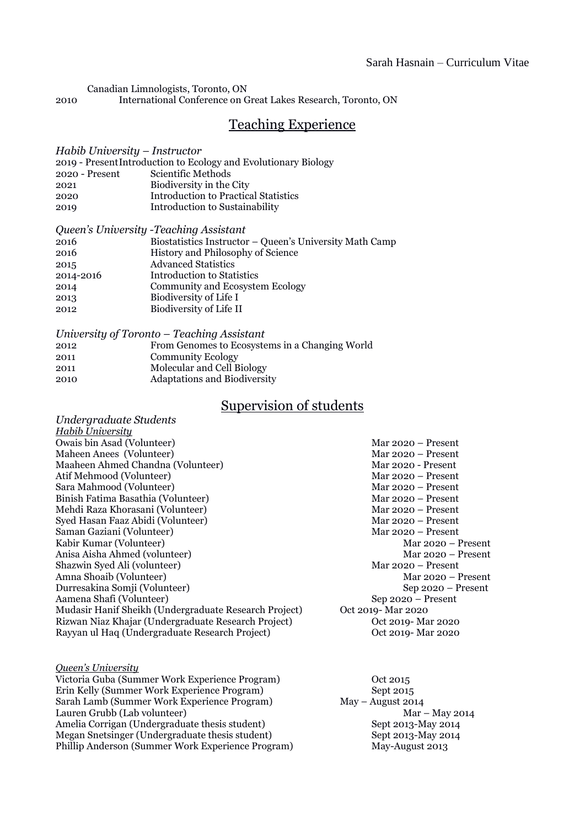Canadian Limnologists, Toronto, ON

2010 International Conference on Great Lakes Research, Toronto, ON

### Teaching Experience

#### *Habib University – Instructor*

| 2019 - Present Introduction to Ecology and Evolutionary Biology |                                             |  |  |  |  |  |
|-----------------------------------------------------------------|---------------------------------------------|--|--|--|--|--|
| $2020 -$ Present                                                | Scientific Methods                          |  |  |  |  |  |
| 2021                                                            | Biodiversity in the City                    |  |  |  |  |  |
| 2020                                                            | <b>Introduction to Practical Statistics</b> |  |  |  |  |  |
| 2019                                                            | Introduction to Sustainability              |  |  |  |  |  |
|                                                                 |                                             |  |  |  |  |  |

| Queen's University - Teaching Assistant |                                                         |  |  |  |  |
|-----------------------------------------|---------------------------------------------------------|--|--|--|--|
| 2016                                    | Biostatistics Instructor - Queen's University Math Camp |  |  |  |  |
| 2016                                    | History and Philosophy of Science                       |  |  |  |  |
| 2015                                    | <b>Advanced Statistics</b>                              |  |  |  |  |
| 2014-2016                               | Introduction to Statistics                              |  |  |  |  |
| 2014                                    | <b>Community and Ecosystem Ecology</b>                  |  |  |  |  |
| 2013                                    | Biodiversity of Life I                                  |  |  |  |  |
| 2012                                    | Biodiversity of Life II                                 |  |  |  |  |
|                                         |                                                         |  |  |  |  |

| University of Toronto – Teaching Assistant |                                                |  |  |  |
|--------------------------------------------|------------------------------------------------|--|--|--|
| 2012                                       | From Genomes to Ecosystems in a Changing World |  |  |  |
| 2011                                       | <b>Community Ecology</b>                       |  |  |  |
| 2011                                       | Molecular and Cell Biology                     |  |  |  |
| 2010                                       | Adaptations and Biodiversity                   |  |  |  |

## Supervision of students

| Undergraduate Students                                |                      |
|-------------------------------------------------------|----------------------|
| <b>Habib University</b>                               |                      |
| Owais bin Asad (Volunteer)                            | Mar $2020 -$ Present |
| Maheen Anees (Volunteer)                              | Mar $2020$ – Present |
| Maaheen Ahmed Chandna (Volunteer)                     | Mar 2020 - Present   |
| Atif Mehmood (Volunteer)                              | Mar $2020$ – Present |
| Sara Mahmood (Volunteer)                              | Mar $2020$ – Present |
| Binish Fatima Basathia (Volunteer)                    | Mar $2020 -$ Present |
| Mehdi Raza Khorasani (Volunteer)                      | Mar $2020$ – Present |
| Syed Hasan Faaz Abidi (Volunteer)                     | Mar $2020$ – Present |
| Saman Gaziani (Volunteer)                             | Mar $2020 -$ Present |
| Kabir Kumar (Volunteer)                               | Mar $2020 -$ Present |
| Anisa Aisha Ahmed (volunteer)                         | Mar $2020 -$ Present |
| Shazwin Syed Ali (volunteer)                          | Mar $2020 -$ Present |
| Amna Shoaib (Volunteer)                               | Mar $2020 -$ Present |
| Durresakina Somji (Volunteer)                         | Sep 2020 – Present   |
| Aamena Shafi (Volunteer)                              | $Sep 2020 - Present$ |
| Mudasir Hanif Sheikh (Undergraduate Research Project) | Oct 2019- Mar 2020   |
| Rizwan Niaz Khajar (Undergraduate Research Project)   | Oct 2019 - Mar 2020  |
| Rayyan ul Haq (Undergraduate Research Project)        | Oct 2019 - Mar 2020  |

#### *Queen's University*

Victoria Guba (Summer Work Experience Program) Oct 2015 Erin Kelly (Summer Work Experience Program) Sept 2015 Sarah Lamb (Summer Work Experience Program) May – August 2014 Lauren Grubb (Lab volunteer) Mar – May 2014 Amelia Corrigan (Undergraduate thesis student) Sept 2013-May 2014 Megan Snetsinger (Undergraduate thesis student) Sept 2013-May 2014 Phillip Anderson (Summer Work Experience Program) May-August 2013